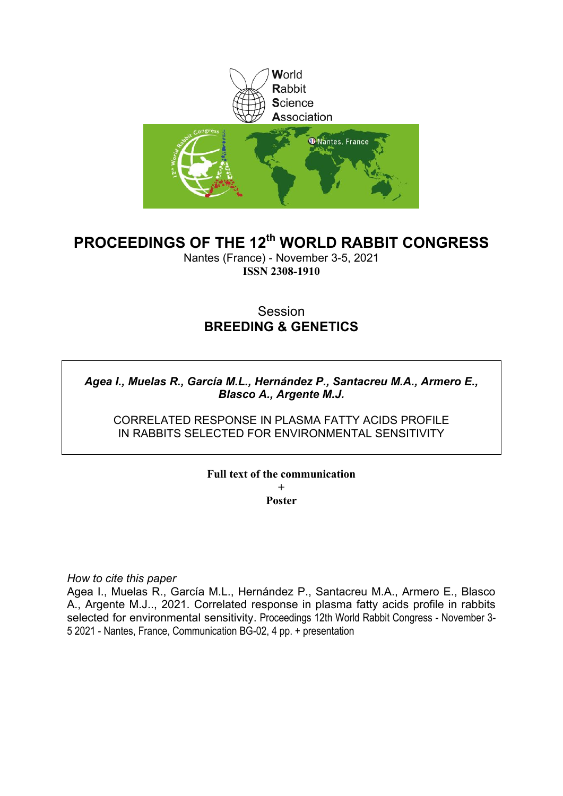

# **PROCEEDINGS OF THE 12th WORLD RABBIT CONGRESS**

Nantes (France) - November 3-5, 2021 **ISSN 2308-1910**

# Session **BREEDING & GENETICS**

## *Agea I., Muelas R., García M.L., Hernández P., Santacreu M.A., Armero E., Blasco A., Argente M.J.*

## CORRELATED RESPONSE IN PLASMA FATTY ACIDS PROFILE IN RABBITS SELECTED FOR ENVIRONMENTAL SENSITIVITY

### **Full text of the communication + Poster**

*How to cite this paper*

Agea I., Muelas R., García M.L., Hernández P., Santacreu M.A., Armero E., Blasco A., Argente M.J.., 2021. Correlated response in plasma fatty acids profile in rabbits selected for environmental sensitivity. Proceedings 12th World Rabbit Congress - November 3- 5 2021 - Nantes, France, Communication BG-02, 4 pp. + presentation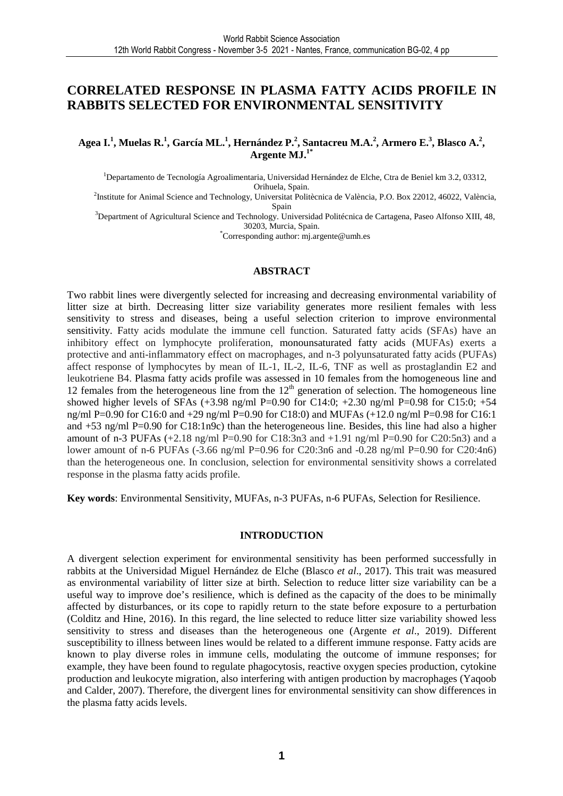## **CORRELATED RESPONSE IN PLASMA FATTY ACIDS PROFILE IN RABBITS SELECTED FOR ENVIRONMENTAL SENSITIVITY**

#### **Agea I.<sup>1</sup> , Muelas R.<sup>1</sup> , García ML.<sup>1</sup> , Hernández P.<sup>2</sup> , Santacreu M.A.<sup>2</sup> , Armero E.<sup>3</sup> , Blasco A.<sup>2</sup> , Argente MJ.1\***

<sup>1</sup>Departamento de Tecnología Agroalimentaria, Universidad Hernández de Elche, Ctra de Beniel km 3.2, 03312, Orihuela, Spain.

2 Institute for Animal Science and Technology, Universitat Politècnica de València, P.O. Box 22012, 46022, València, Spain

<sup>3</sup>Department of Agricultural Science and Technology. Universidad Politécnica de Cartagena, Paseo Alfonso XIII, 48, 30203, Murcia, Spain.

\*Corresponding author: mj.argente@umh.es

#### **ABSTRACT**

Two rabbit lines were divergently selected for increasing and decreasing environmental variability of litter size at birth. Decreasing litter size variability generates more resilient females with less sensitivity to stress and diseases, being a useful selection criterion to improve environmental sensitivity. Fatty acids modulate the immune cell function. Saturated fatty acids (SFAs) have an inhibitory effect on lymphocyte proliferation, monounsaturated fatty acids (MUFAs) exerts a protective and anti-inflammatory effect on macrophages, and n-3 polyunsaturated fatty acids (PUFAs) affect response of lymphocytes by mean of IL-1, IL-2, IL-6, TNF as well as prostaglandin E2 and leukotriene B4. Plasma fatty acids profile was assessed in 10 females from the homogeneous line and 12 females from the heterogeneous line from the  $12<sup>th</sup>$  generation of selection. The homogeneous line showed higher levels of SFAs (+3.98 ng/ml P=0.90 for C14:0; +2.30 ng/ml P=0.98 for C15:0; +54 ng/ml P=0.90 for C16:0 and +29 ng/ml P=0.90 for C18:0) and MUFAs (+12.0 ng/ml P=0.98 for C16:1 and +53 ng/ml P=0.90 for C18:1n9c) than the heterogeneous line. Besides, this line had also a higher amount of n-3 PUFAs  $(+2.18 \text{ ng/ml} \text{ P=0.90}$  for C18:3n3 and  $+1.91 \text{ ng/ml} \text{ P=0.90}$  for C20:5n3) and a lower amount of n-6 PUFAs (-3.66 ng/ml P=0.96 for C20:3n6 and -0.28 ng/ml P=0.90 for C20:4n6) than the heterogeneous one. In conclusion, selection for environmental sensitivity shows a correlated response in the plasma fatty acids profile.

**Key words**: Environmental Sensitivity, MUFAs, n-3 PUFAs, n-6 PUFAs, Selection for Resilience.

#### **INTRODUCTION**

A divergent selection experiment for environmental sensitivity has been performed successfully in rabbits at the Universidad Miguel Hernández de Elche (Blasco *et al*., 2017). This trait was measured as environmental variability of litter size at birth. Selection to reduce litter size variability can be a useful way to improve doe's resilience, which is defined as the capacity of the does to be minimally affected by disturbances, or its cope to rapidly return to the state before exposure to a perturbation (Colditz and Hine, 2016). In this regard, the line selected to reduce litter size variability showed less sensitivity to stress and diseases than the heterogeneous one (Argente *et al*., 2019). Different susceptibility to illness between lines would be related to a different immune response. Fatty acids are known to play diverse roles in immune cells, modulating the outcome of immune responses; for example, they have been found to regulate phagocytosis, reactive oxygen species production, cytokine production and leukocyte migration, also interfering with antigen production by macrophages (Yaqoob and Calder, 2007). Therefore, the divergent lines for environmental sensitivity can show differences in the plasma fatty acids levels.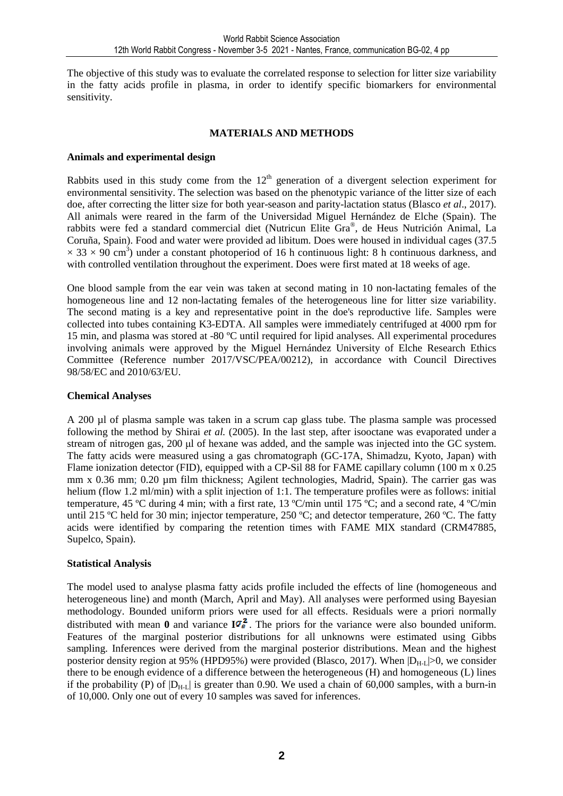The objective of this study was to evaluate the correlated response to selection for litter size variability in the fatty acids profile in plasma, in order to identify specific biomarkers for environmental sensitivity.

## **MATERIALS AND METHODS**

#### **Animals and experimental design**

Rabbits used in this study come from the  $12<sup>th</sup>$  generation of a divergent selection experiment for environmental sensitivity. The selection was based on the phenotypic variance of the litter size of each doe, after correcting the litter size for both year-season and parity-lactation status (Blasco *et al*., 2017). All animals were reared in the farm of the Universidad Miguel Hernández de Elche (Spain). The rabbits were fed a standard commercial diet (Nutricun Elite Gra® , de Heus Nutrición Animal, La Coruña, Spain). Food and water were provided ad libitum. Does were housed in individual cages (37.5  $\times$  33  $\times$  90 cm<sup>3</sup>) under a constant photoperiod of 16 h continuous light: 8 h continuous darkness, and with controlled ventilation throughout the experiment. Does were first mated at 18 weeks of age.

One blood sample from the ear vein was taken at second mating in 10 non-lactating females of the homogeneous line and 12 non-lactating females of the heterogeneous line for litter size variability. The second mating is a key and representative point in the doe's reproductive life. Samples were collected into tubes containing K3-EDTA. All samples were immediately centrifuged at 4000 rpm for 15 min, and plasma was stored at -80 ºC until required for lipid analyses. All experimental procedures involving animals were approved by the Miguel Hernández University of Elche Research Ethics Committee (Reference number 2017/VSC/PEA/00212), in accordance with Council Directives 98/58/EC and 2010/63/EU.

### **Chemical Analyses**

A 200 µl of plasma sample was taken in a scrum cap glass tube. The plasma sample was processed following the method by Shirai *et al.* (2005). In the last step, after isooctane was evaporated under a stream of nitrogen gas, 200 µl of hexane was added, and the sample was injected into the GC system. The fatty acids were measured using a gas chromatograph (GC-17A, Shimadzu, Kyoto, Japan) with Flame ionization detector (FID), equipped with a CP-Sil 88 for FAME capillary column (100 m x 0.25 mm x 0.36 mm; 0.20 µm film thickness; Agilent technologies, Madrid, Spain). The carrier gas was helium (flow 1.2 ml/min) with a split injection of 1:1. The temperature profiles were as follows: initial temperature, 45 ºC during 4 min; with a first rate, 13 ºC/min until 175 ºC; and a second rate, 4 ºC/min until 215 °C held for 30 min; injector temperature, 250 °C; and detector temperature, 260 °C. The fatty acids were identified by comparing the retention times with FAME MIX standard (CRM47885, Supelco, Spain).

#### **Statistical Analysis**

The model used to analyse plasma fatty acids profile included the effects of line (homogeneous and heterogeneous line) and month (March, April and May). All analyses were performed using Bayesian methodology. Bounded uniform priors were used for all effects. Residuals were a priori normally distributed with mean  $\mathbf{0}$  and variance  $\mathbf{I} \sigma_{\mathbf{s}}^2$ . The priors for the variance were also bounded uniform. Features of the marginal posterior distributions for all unknowns were estimated using Gibbs sampling. Inferences were derived from the marginal posterior distributions. Mean and the highest posterior density region at 95% (HPD95%) were provided (Blasco, 2017). When  $|D_{H,I}|>0$ , we consider there to be enough evidence of a difference between the heterogeneous (H) and homogeneous (L) lines if the probability (P) of  $|D_{H-L}|$  is greater than 0.90. We used a chain of 60,000 samples, with a burn-in of 10,000. Only one out of every 10 samples was saved for inferences.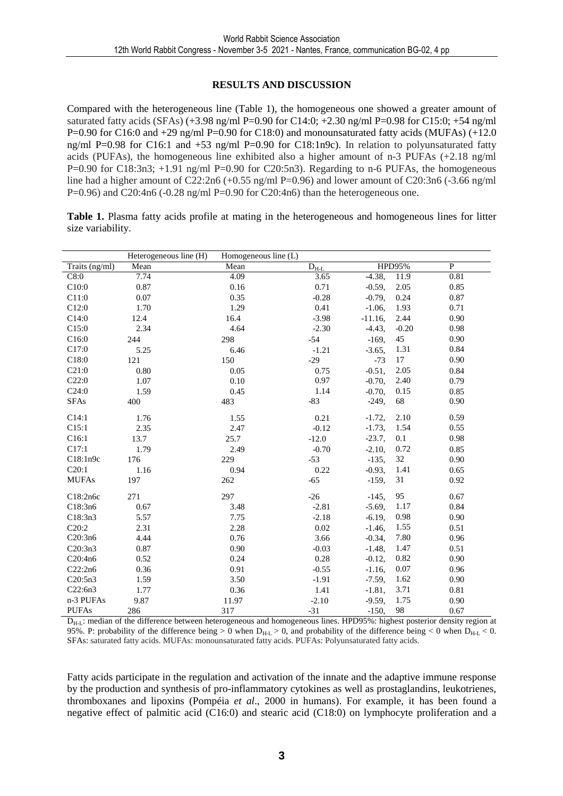## **RESULTS AND DISCUSSION**

Compared with the heterogeneous line (Table 1), the homogeneous one showed a greater amount of saturated fatty acids (SFAs)  $(+3.98 \text{ ng/ml} \text{P} = 0.90 \text{ for } C14:0; +2.30 \text{ ng/ml} \text{P} = 0.98 \text{ for } C15:0; +54 \text{ ng/ml}$ P=0.90 for C16:0 and  $+29$  ng/ml P=0.90 for C18:0) and monounsaturated fatty acids (MUFAs) ( $+12.0$ ng/ml P=0.98 for C16:1 and  $+53$  ng/ml P=0.90 for C18:1n9c). In relation to polyunsaturated fatty acids (PUFAs), the homogeneous line exhibited also a higher amount of n-3 PUFAs (+2.18 ng/ml P=0.90 for C18:3n3;  $+1.91$  ng/ml P=0.90 for C20:5n3). Regarding to n-6 PUFAs, the homogeneous line had a higher amount of C22:2n6 (+0.55 ng/ml P=0.96) and lower amount of C20:3n6 (-3.66 ng/ml P=0.96) and C20:4n6 (-0.28 ng/ml P=0.90 for C20:4n6) than the heterogeneous one.

**Table 1.** Plasma fatty acids profile at mating in the heterogeneous and homogeneous lines for litter size variability.

|                | Heterogeneous line (H) | Homogeneous line (L) |                         |               |         |              |
|----------------|------------------------|----------------------|-------------------------|---------------|---------|--------------|
| Traits (ng/ml) | Mean                   | Mean                 | $\rm \overline{D_{HL}}$ | <b>HPD95%</b> |         | $\mathbf{P}$ |
| C8:0           | 7.74                   | 4.09                 | 3.65                    | $-4.38,$      | 11.9    | 0.81         |
| C10:0          | 0.87                   | 0.16                 | 0.71                    | $-0.59,$      | 2.05    | 0.85         |
| C11:0          | 0.07                   | 0.35                 | $-0.28$                 | $-0.79,$      | 0.24    | 0.87         |
| C12:0          | 1.70                   | 1.29                 | 0.41                    | $-1.06,$      | 1.93    | 0.71         |
| C14:0          | 12.4                   | 16.4                 | $-3.98$                 | $-11.16,$     | 2.44    | 0.90         |
| C15:0          | 2.34                   | 4.64                 | $-2.30$                 | $-4.43,$      | $-0.20$ | 0.98         |
| C16:0          | 244                    | 298                  | $-54$                   | $-169,$       | 45      | 0.90         |
| C17:0          | 5.25                   | 6.46                 | $-1.21$                 | $-3.65,$      | 1.31    | 0.84         |
| C18:0          | 121                    | 150                  | $-29$                   | $-73$         | 17      | 0.90         |
| C21:0          | 0.80                   | 0.05                 | 0.75                    | $-0.51,$      | 2.05    | 0.84         |
| C22:0          | 1.07                   | 0.10                 | 0.97                    | $-0.70$ ,     | 2.40    | 0.79         |
| C24:0          | 1.59                   | 0.45                 | 1.14                    | $-0.70,$      | 0.15    | 0.85         |
| <b>SFAs</b>    | 400                    | 483                  | $-83$                   | $-249,$       | 68      | 0.90         |
| C14:1          | 1.76                   | 1.55                 | 0.21                    | $-1.72,$      | 2.10    | 0.59         |
| C15:1          | 2.35                   | 2.47                 | $-0.12$                 | $-1.73,$      | 1.54    | 0.55         |
| C16:1          | 13.7                   | 25.7                 | $-12.0$                 | $-23.7,$      | 0.1     | 0.98         |
| C17:1          | 1.79                   | 2.49                 | $-0.70$                 | $-2.10$ ,     | 0.72    | 0.85         |
| C18:1n9c       | 176                    | 229                  | $-53$                   | $-135,$       | 32      | 0.90         |
| C20:1          | 1.16                   | 0.94                 | 0.22                    | $-0.93,$      | 1.41    | 0.65         |
| <b>MUFAs</b>   | 197                    | 262                  | $-65$                   | $-159,$       | 31      | 0.92         |
| C18:2n6c       | 271                    | 297                  | $-26$                   | $-145,$       | 95      | 0.67         |
| C18:3n6        | 0.67                   | 3.48                 | $-2.81$                 | $-5.69,$      | 1.17    | 0.84         |
| C18:3n3        | 5.57                   | 7.75                 | $-2.18$                 | $-6.19,$      | 0.98    | 0.90         |
| C20:2          | 2.31                   | 2.28                 | 0.02                    | $-1.46,$      | 1.55    | 0.51         |
| C20:3n6        | 4.44                   | 0.76                 | 3.66                    | $-0.34,$      | 7.80    | 0.96         |
| C20:3n3        | 0.87                   | 0.90                 | $-0.03$                 | $-1.48,$      | 1.47    | 0.51         |
| C20:4n6        | 0.52                   | 0.24                 | 0.28                    | $-0.12$ ,     | 0.82    | 0.90         |
| C22:2n6        | 0.36                   | 0.91                 | $-0.55$                 | $-1.16$ ,     | 0.07    | 0.96         |
| C20:5n3        | 1.59                   | 3.50                 | $-1.91$                 | $-7.59,$      | 1.62    | 0.90         |
| C22:6n3        | 1.77                   | 0.36                 | 1.41                    | $-1.81,$      | 3.71    | 0.81         |
| n-3 PUFAs      | 9.87                   | 11.97                | $-2.10$                 | $-9.59,$      | 1.75    | 0.90         |
| <b>PUFAs</b>   | 286                    | 317                  | $-31$                   | $-150,$       | 98      | 0.67         |

 $D<sub>H-L</sub>$ : median of the difference between heterogeneous and homogeneous lines. HPD95%: highest posterior density region at 95%. P: probability of the difference being  $> 0$  when  $D_{H-L} > 0$ , and probability of the difference being  $< 0$  when  $D_{H-L} < 0$ . SFAs: saturated fatty acids. MUFAs: monounsaturated fatty acids. PUFAs: Polyunsaturated fatty acids.

Fatty acids participate in the regulation and activation of the innate and the adaptive immune response by the production and synthesis of pro-inflammatory cytokines as well as prostaglandins, leukotrienes, thromboxanes and lipoxins (Pompéia *et al*., 2000 in humans). For example, it has been found a negative effect of palmitic acid (C16:0) and stearic acid (C18:0) on lymphocyte proliferation and a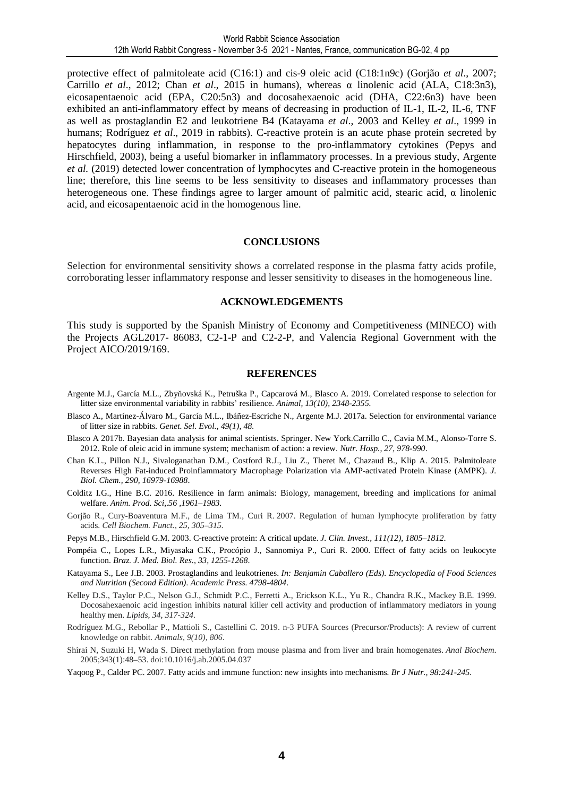protective effect of palmitoleate acid (C16:1) and cis-9 oleic acid (C18:1n9c) (Gorjão *et al*., 2007; Carrillo *et al*., 2012; Chan *et al*., 2015 in humans), whereas α linolenic acid (ALA, C18:3n3), eicosapentaenoic acid (EPA, C20:5n3) and docosahexaenoic acid (DHA, C22:6n3) have been exhibited an anti-inflammatory effect by means of decreasing in production of IL-1, IL-2, IL-6, TNF as well as prostaglandin E2 and leukotriene B4 (Katayama *et al*., 2003 and Kelley *et al*., 1999 in humans; Rodríguez *et al.*, 2019 in rabbits). C-reactive protein is an acute phase protein secreted by hepatocytes during inflammation, in response to the pro-inflammatory cytokines (Pepys and Hirschfield, 2003), being a useful biomarker in inflammatory processes. In a previous study, Argente *et al.* (2019) detected lower concentration of lymphocytes and C-reactive protein in the homogeneous line; therefore, this line seems to be less sensitivity to diseases and inflammatory processes than heterogeneous one. These findings agree to larger amount of palmitic acid, stearic acid, α linolenic acid, and eicosapentaenoic acid in the homogenous line.

#### **CONCLUSIONS**

Selection for environmental sensitivity shows a correlated response in the plasma fatty acids profile, corroborating lesser inflammatory response and lesser sensitivity to diseases in the homogeneous line.

#### **ACKNOWLEDGEMENTS**

This study is supported by the Spanish Ministry of Economy and Competitiveness (MINECO) with the Projects AGL2017- 86083, C2-1-P and C2-2-P, and Valencia Regional Government with the Project AICO/2019/169.

#### **REFERENCES**

- Argente M.J., García M.L., Zbyňovská K., Petruška P., Capcarová M., Blasco A. 2019. Correlated response to selection for litter size environmental variability in rabbits' resilience. *Animal, 13(10), 2348-2355.*
- Blasco A., Martínez-Álvaro M., García M.L., Ibáñez-Escriche N., Argente M.J. 2017a. Selection for environmental variance of litter size in rabbits. *Genet. Sel. Evol., 49(1), 48.*
- Blasco A 2017b. Bayesian data analysis for animal scientists. Springer. New York.Carrillo C., Cavia M.M., Alonso-Torre S. 2012. Role of oleic acid in immune system; mechanism of action: a review. *Nutr. Hosp., 27, 978-990*.
- Chan K.L., Pillon N.J., Sivaloganathan D.M., Costford R.J., Liu Z., Theret M., Chazaud B., Klip A. 2015. Palmitoleate Reverses High Fat-induced Proinflammatory Macrophage Polarization via AMP-activated Protein Kinase (AMPK). *J. Biol. Chem., 290, 16979-16988*.
- Colditz I.G., Hine B.C. 2016. Resilience in farm animals: Biology, management, breeding and implications for animal welfare. *Anim. Prod. Sci,.56 ,1961–1983.*
- Gorjão R., Cury-Boaventura M.F., de Lima TM., Curi R. 2007. Regulation of human lymphocyte proliferation by fatty acids. *Cell Biochem. Funct., 25, 305–315.*
- Pepys M.B., Hirschfield G.M. 2003. C-reactive protein: A critical update. *J. Clin. Invest., 111(12), 1805–1812*.
- Pompéia C., Lopes L.R., Miyasaka C.K., Procópio J., Sannomiya P., Curi R. 2000. Effect of fatty acids on leukocyte function. *Braz. J. Med. Biol. Res., 33, 1255-1268*.
- Katayama S., Lee J.B. 2003. Prostaglandins and leukotrienes. *In: Benjamin Caballero (Eds). Encyclopedia of Food Sciences and Nutrition (Second Edition). Academic Press. 4798-4804*.
- Kelley D.S., Taylor P.C., Nelson G.J., Schmidt P.C., Ferretti A., Erickson K.L., Yu R., Chandra R.K., Mackey B.E. 1999. Docosahexaenoic acid ingestion inhibits natural killer cell activity and production of inflammatory mediators in young healthy men. *Lipids, 34, 317-324.*
- Rodríguez M.G., Rebollar P., Mattioli S., Castellini C. 2019. n-3 PUFA Sources (Precursor/Products): A review of current knowledge on rabbit. *Animals, 9(10), 806*.
- Shirai N, Suzuki H, Wada S. Direct methylation from mouse plasma and from liver and brain homogenates. *Anal Biochem*. 2005;343(1):48–53. doi:10.1016/j.ab.2005.04.037
- Yaqoog P., Calder PC. 2007. Fatty acids and immune function: new insights into mechanisms*. Br J Nutr., 98:241-245.*